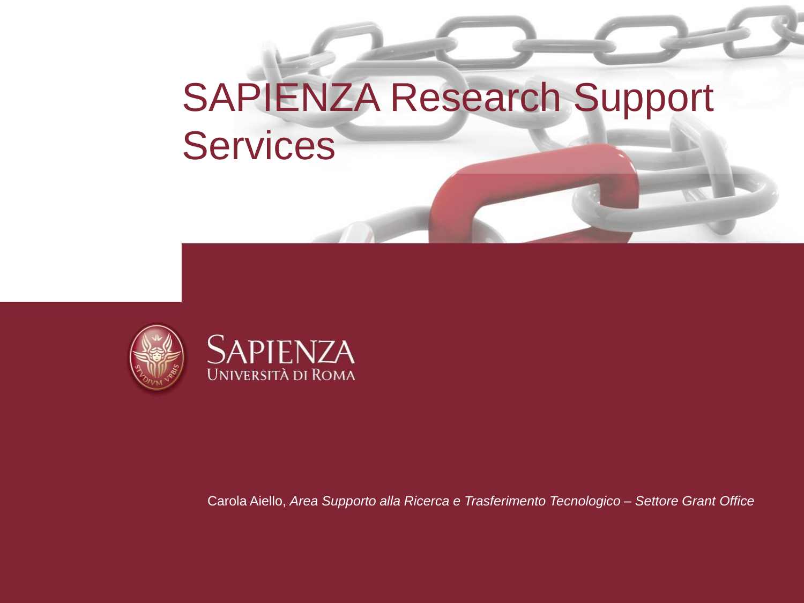## SAPIENZA Research Support Services





Carola Aiello, *Area Supporto alla Ricerca e Trasferimento Tecnologico – Settore Grant Office*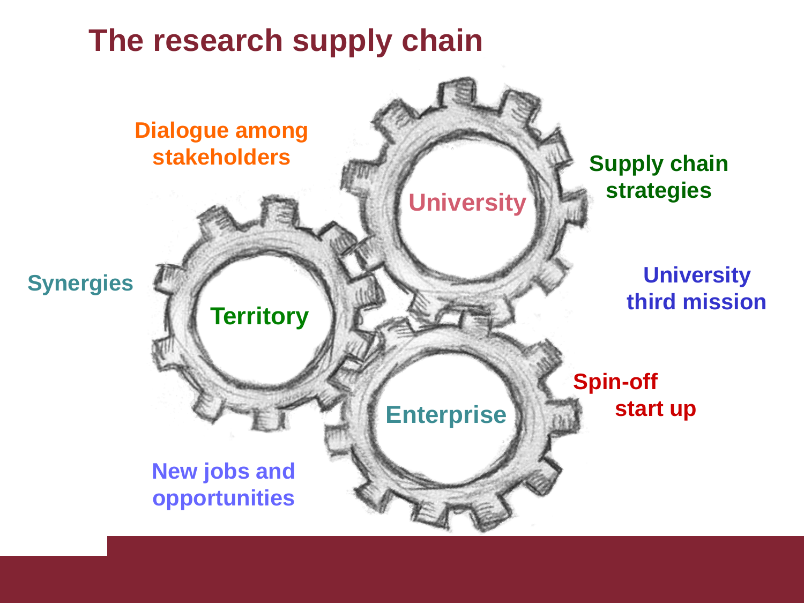### **The research supply chain**

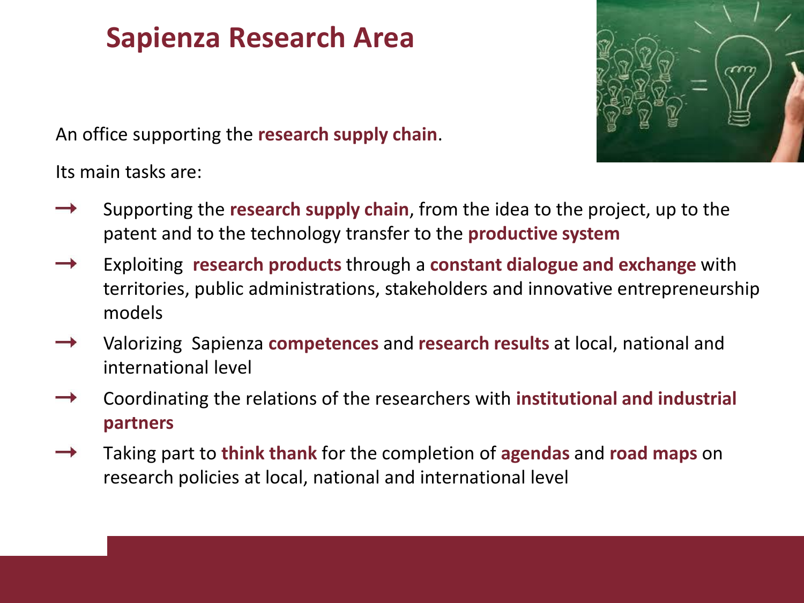#### **Sapienza Research Area**



An office supporting the **research supply chain**.

Its main tasks are:

- Supporting the **research supply chain**, from the idea to the project, up to the patent and to the technology transfer to the **productive system**
- Exploiting **research products** through a **constant dialogue and exchange** with territories, public administrations, stakeholders and innovative entrepreneurship models
- Valorizing Sapienza **competences** and **research results** at local, national and international level
- Coordinating the relations of the researchers with **institutional and industrial partners**
- Taking part to **think thank** for the completion of **agendas** and **road maps** on research policies at local, national and international level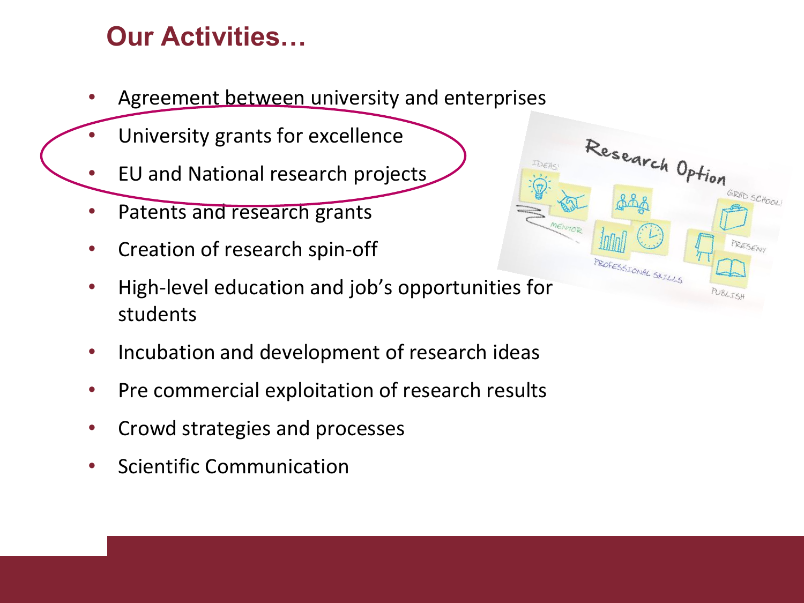#### **Our Activities…**

- Agreement between university and enterprises
- University grants for excellence
- EU and National research projects
- Patents and research grants
- Creation of research spin-off
- High-level education and job's opportunities for students
- Incubation and development of research ideas
- Pre commercial exploitation of research results
- Crowd strategies and processes
- Scientific Communication

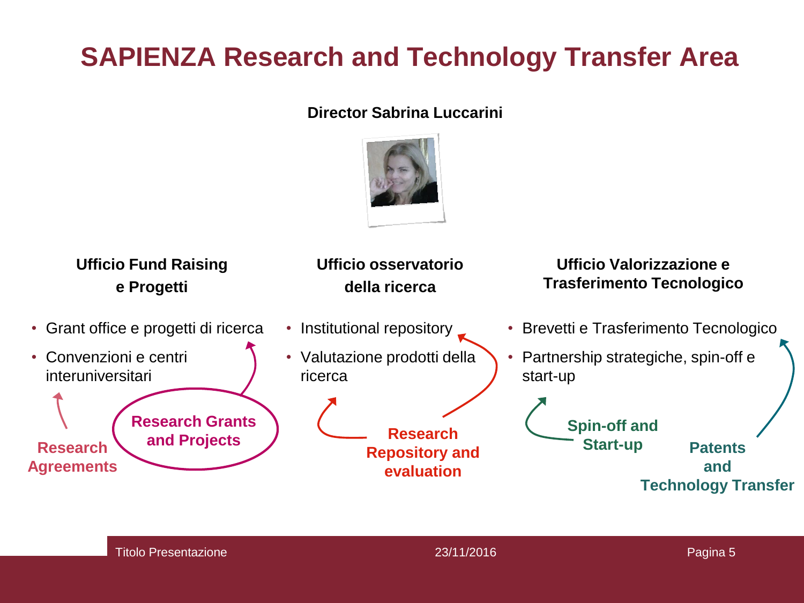#### **SAPIENZA Research and Technology Transfer Area**

#### **Director Sabrina Luccarini**



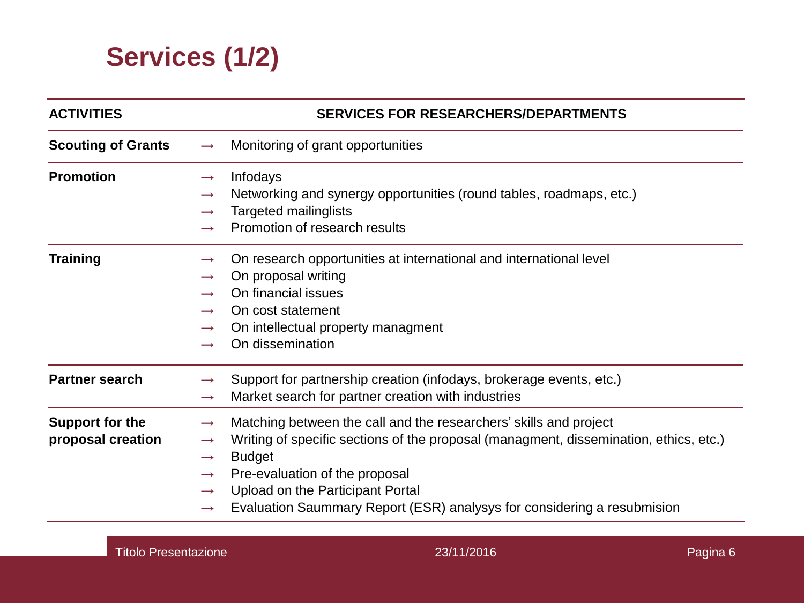#### **Services (1/2)**

| <b>ACTIVITIES</b>                           |                                                                                                    | <b>SERVICES FOR RESEARCHERS/DEPARTMENTS</b>                                                                                                                                                                                                                                                                                  |
|---------------------------------------------|----------------------------------------------------------------------------------------------------|------------------------------------------------------------------------------------------------------------------------------------------------------------------------------------------------------------------------------------------------------------------------------------------------------------------------------|
| <b>Scouting of Grants</b>                   | $\rightarrow$                                                                                      | Monitoring of grant opportunities                                                                                                                                                                                                                                                                                            |
| <b>Promotion</b>                            | $\rightarrow$<br>$\rightarrow$<br>$\rightarrow$                                                    | Infodays<br>Networking and synergy opportunities (round tables, roadmaps, etc.)<br><b>Targeted mailinglists</b><br>Promotion of research results                                                                                                                                                                             |
| <b>Training</b>                             | $\rightarrow$<br>$\rightarrow$<br>$\rightarrow$<br>$\rightarrow$<br>$\rightarrow$<br>$\rightarrow$ | On research opportunities at international and international level<br>On proposal writing<br>On financial issues<br>On cost statement<br>On intellectual property managment<br>On dissemination                                                                                                                              |
| <b>Partner search</b>                       | $\rightarrow$                                                                                      | Support for partnership creation (infodays, brokerage events, etc.)<br>Market search for partner creation with industries                                                                                                                                                                                                    |
| <b>Support for the</b><br>proposal creation | $\rightarrow$<br>$\rightarrow$<br>$\rightarrow$<br>$\rightarrow$<br>$\rightarrow$<br>$\rightarrow$ | Matching between the call and the researchers' skills and project<br>Writing of specific sections of the proposal (managment, dissemination, ethics, etc.)<br><b>Budget</b><br>Pre-evaluation of the proposal<br>Upload on the Participant Portal<br>Evaluation Saummary Report (ESR) analysys for considering a resubmision |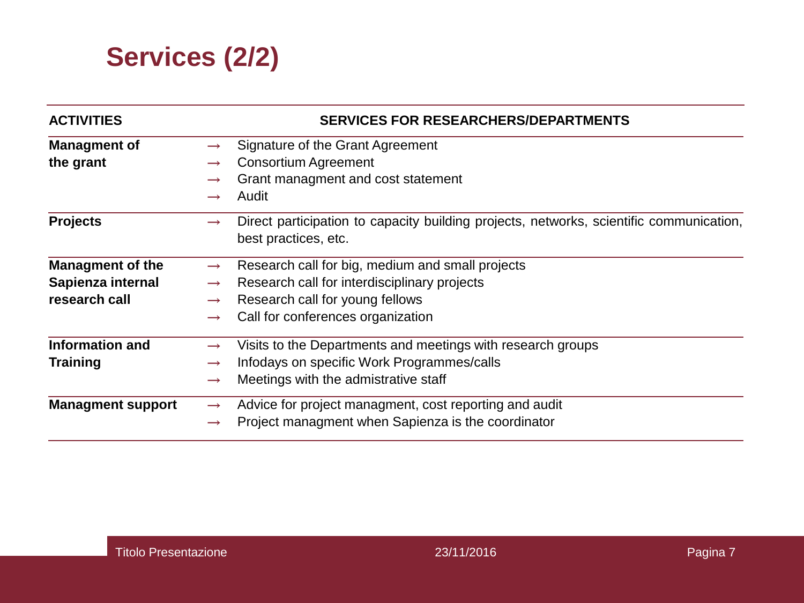

| <b>ACTIVITIES</b>        | <b>SERVICES FOR RESEARCHERS/DEPARTMENTS</b>                                                                                      |
|--------------------------|----------------------------------------------------------------------------------------------------------------------------------|
| <b>Managment of</b>      | Signature of the Grant Agreement<br>$\rightarrow$                                                                                |
| the grant                | <b>Consortium Agreement</b><br>$\rightarrow$                                                                                     |
|                          | Grant managment and cost statement<br>$\rightarrow$                                                                              |
|                          | Audit                                                                                                                            |
| <b>Projects</b>          | Direct participation to capacity building projects, networks, scientific communication,<br>$\rightarrow$<br>best practices, etc. |
| <b>Managment of the</b>  | Research call for big, medium and small projects<br>$\rightarrow$                                                                |
| Sapienza internal        | Research call for interdisciplinary projects<br>$\rightarrow$                                                                    |
| research call            | Research call for young fellows<br>$\rightarrow$                                                                                 |
|                          | Call for conferences organization<br>$\rightarrow$                                                                               |
| <b>Information and</b>   | Visits to the Departments and meetings with research groups<br>$\rightarrow$                                                     |
| <b>Training</b>          | Infodays on specific Work Programmes/calls<br>$\rightarrow$                                                                      |
|                          | Meetings with the admistrative staff<br>$\rightarrow$                                                                            |
| <b>Managment support</b> | Advice for project managment, cost reporting and audit<br>$\rightarrow$                                                          |
|                          | Project managment when Sapienza is the coordinator<br>$\rightarrow$                                                              |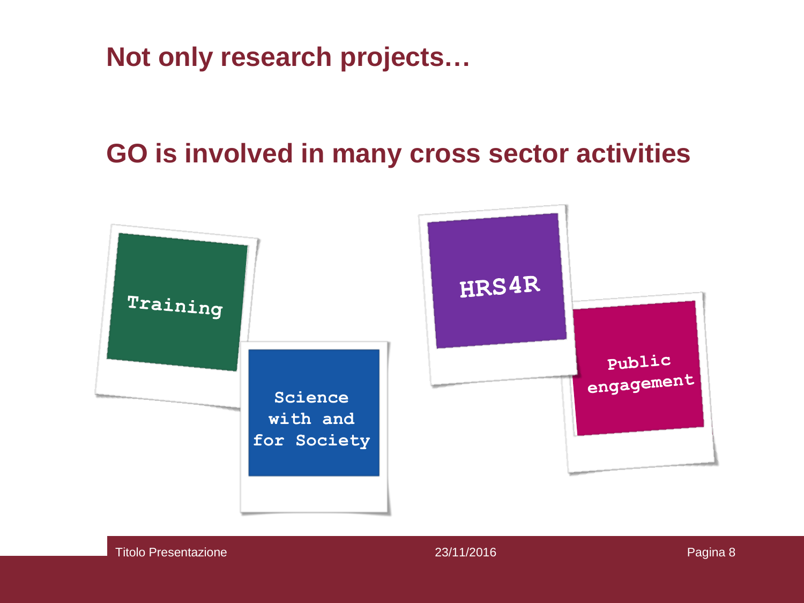**Not only research projects…**

#### **GO is involved in many cross sector activities**



Titolo Presentazione 23/11/2016 Presentazione 23/11/2016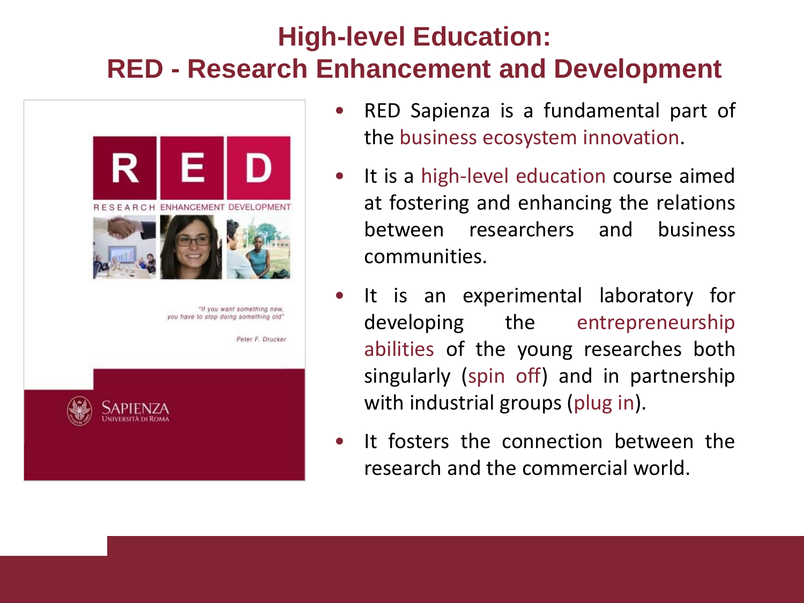#### **High-level Education: RED - Research Enhancement and Development**



- RED Sapienza is a fundamental part of the business ecosystem innovation.
- It is a high-level education course aimed at fostering and enhancing the relations between researchers and business communities.
- It is an experimental laboratory for developing the entrepreneurship abilities of the young researches both singularly (spin off) and in partnership with industrial groups (plug in).
- It fosters the connection between the research and the commercial world.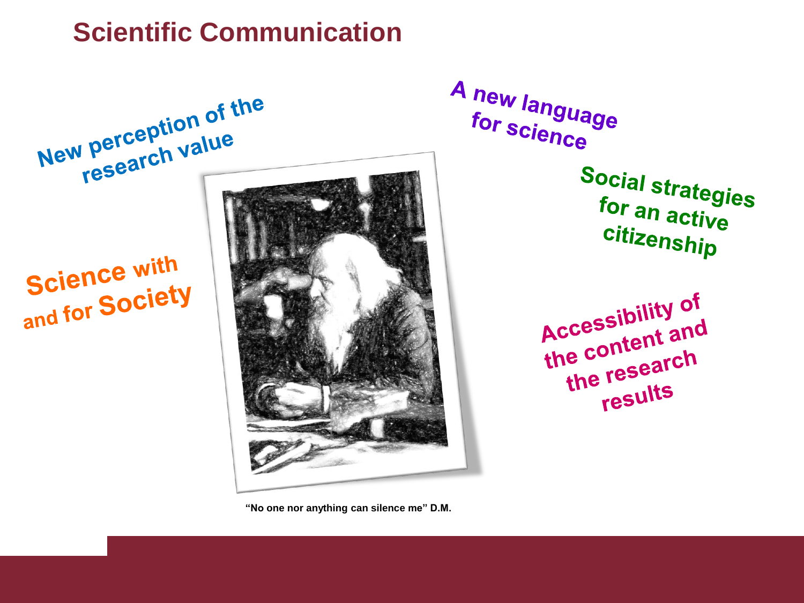#### **Scientific Communication**



**"No one nor anything can silence me" D.M.**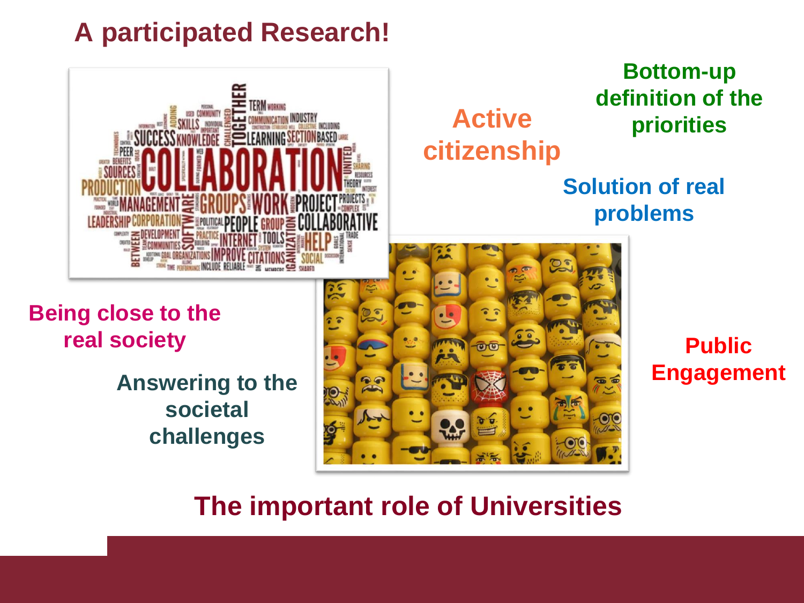#### **A participated Research!**



# **citizenship**

#### **Bottom-up definition of the Active priorities**

#### **Solution of real problems**

**Being close to the real society**

> **Answering to the societal challenges**



#### **Public Engagement**

#### **The important role of Universities**